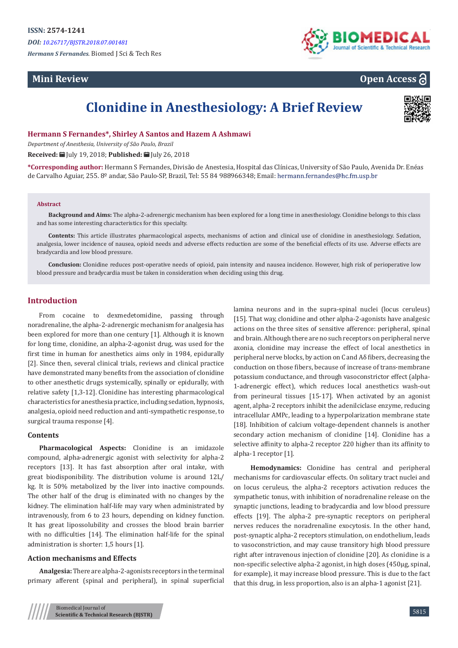*Hermann S Fernandes.* Biomed J Sci & Tech Res

# **Mini Review**



**Open Access**

# **Clonidine in Anesthesiology: A Brief Review**



**Hermann S Fernandes\*, Shirley A Santos and Hazem A Ashmawi**

*Department of Anesthesia, University of São Paulo, Brazil*

**Received:** July 19, 2018; **Published:** July 26, 2018

**\*Corresponding author:** Hermann S Fernandes, Divisão de Anestesia, Hospital das Clínicas, University of São Paulo, Avenida Dr. Enéas de Carvalho Aguiar, 255. 8º andar, São Paulo-SP, Brazil, Tel: 55 84 988966348; Email: hermann.fernandes@hc.fm.usp.br

#### **Abstract**

**Background and Aims:** The alpha-2-adrenergic mechanism has been explored for a long time in anesthesiology. Clonidine belongs to this class and has some interesting characteristics for this specialty.

**Contents:** This article illustrates pharmacological aspects, mechanisms of action and clinical use of clonidine in anesthesiology. Sedation, analgesia, lower incidence of nausea, opioid needs and adverse effects reduction are some of the beneficial effects of its use. Adverse effects are bradycardia and low blood pressure.

**Conclusion:** Clonidine reduces post-operative needs of opioid, pain intensity and nausea incidence. However, high risk of perioperative low blood pressure and bradycardia must be taken in consideration when deciding using this drug.

# **Introduction**

From cocaine to dexmedetomidine, passing through noradrenaline, the alpha-2-adrenergic mechanism for analgesia has been explored for more than one century [1]. Although it is known for long time, clonidine, an alpha-2-agonist drug, was used for the first time in human for anesthetics aims only in 1984, epidurally [2]. Since then, several clinical trials, reviews and clinical practice have demonstrated many benefits from the association of clonidine to other anesthetic drugs systemically, spinally or epidurally, with relative safety [1,3-12]. Clonidine has interesting pharmacological characteristics for anesthesia practice, including sedation, hypnosis, analgesia, opioid need reduction and anti-sympathetic response, to surgical trauma response [4].

#### **Contents**

**Pharmacological Aspects:** Clonidine is an imidazole compound, alpha-adrenergic agonist with selectivity for alpha-2 receptors [13]. It has fast absorption after oral intake, with great biodisponibility. The distribution volume is around 12L/ kg. It is 50% metabolized by the liver into inactive compounds. The other half of the drug is eliminated with no changes by the kidney. The elimination half-life may vary when administrated by intravenously, from 6 to 23 hours, depending on kidney function. It has great lipossolubility and crosses the blood brain barrier with no difficulties [14]. The elimination half-life for the spinal administration is shorter: 1,5 hours [1].

## **Action mechanisms and Effects**

**Analgesia:** There are alpha-2-agonists receptors in the terminal primary afferent (spinal and peripheral), in spinal superficial lamina neurons and in the supra-spinal nuclei (locus ceruleus) [15]. That way, clonidine and other alpha-2-agonists have analgesic actions on the three sites of sensitive afference: peripheral, spinal and brain. Although there are no such receptors on peripheral nerve axonia, clonidine may increase the effect of local anesthetics in peripheral nerve blocks, by action on C and Aδ fibers, decreasing the conduction on those fibers, because of increase of trans-membrane potassium conductance, and through vasoconstrictor effect (alpha-1-adrenergic effect), which reduces local anesthetics wash-out from perineural tissues [15-17]. When activated by an agonist agent, alpha-2 receptors inhibit the adenilciclase enzyme, reducing intracellular AMPc, leading to a hyperpolarization membrane state [18]. Inhibition of calcium voltage-dependent channels is another secondary action mechanism of clonidine [14]. Clonidine has a selective affinity to alpha-2 receptor 220 higher than its affinity to alpha-1 receptor [1].

**Hemodynamics:** Clonidine has central and peripheral mechanisms for cardiovascular effects. On solitary tract nuclei and on locus ceruleus, the alpha-2 receptors activation reduces the sympathetic tonus, with inhibition of noradrenaline release on the synaptic junctions, leading to bradycardia and low blood pressure effects [19]. The alpha-2 pre-synaptic receptors on peripheral nerves reduces the noradrenaline exocytosis. In the other hand, post-synaptic alpha-2 receptors stimulation, on endothelium, leads to vasoconstriction, and may cause transitory high blood pressure right after intravenous injection of clonidine [20]. As clonidine is a non-specific selective alpha-2 agonist, in high doses (450µg, spinal, for example), it may increase blood pressure. This is due to the fact that this drug, in less proportion, also is an alpha-1 agonist [21].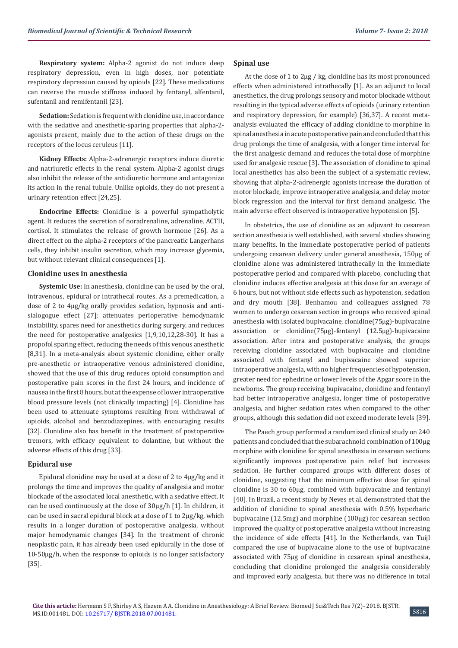**Respiratory system:** Alpha-2 agonist do not induce deep respiratory depression, even in high doses, nor potentiate respiratory depression caused by opioids [22]. These medications can reverse the muscle stiffness induced by fentanyl, alfentanil, sufentanil and remifentanil [23].

**Sedation:** Sedation is frequent with clonidine use, in accordance with the sedative and anesthetic-sparing properties that alpha-2 agonists present, mainly due to the action of these drugs on the receptors of the locus ceruleus [11].

**Kidney Effects:** Alpha-2-adrenergic receptors induce diuretic and natriuretic effects in the renal system. Αlpha-2 agonist drugs also inhibit the release of the antidiuretic hormone and antagonize its action in the renal tubule. Unlike opioids, they do not present a urinary retention effect [24,25].

**Endocrine Effects:** Clonidine is a powerful sympatholytic agent. It reduces the secretion of noradrenaline, adrenaline, ACTH, cortisol. It stimulates the release of growth hormone [26]. As a direct effect on the alpha-2 receptors of the pancreatic Langerhans cells, they inhibit insulin secretion, which may increase glycemia, but without relevant clinical consequences [1].

#### **Clonidine uses in anesthesia**

**Systemic Use:** In anesthesia, clonidine can be used by the oral, intravenous, epidural or intrathecal routes. As a premedication, a dose of 2 to 4μg/kg orally provides sedation, hypnosis and antisialogogue effect [27]; attenuates perioperative hemodynamic instability, spares need for anesthetics during surgery, and reduces the need for postoperative analgesics [1,9,10,12,28-30]. It has a propofol sparing effect, reducing the needs of this venous anesthetic [8,31]. In a meta-analysis about systemic clonidine, either orally pre-anesthetic or intraoperative venous administered clonidine, showed that the use of this drug reduces opioid consumption and postoperative pain scores in the first 24 hours, and incidence of nausea in the first 8 hours, but at the expense of lower intraoperative blood pressure levels (not clinically impacting) [4]. Clonidine has been used to attenuate symptoms resulting from withdrawal of opioids, alcohol and benzodiazepines, with encouraging results [32]. Clonidine also has benefit in the treatment of postoperative tremors, with efficacy equivalent to dolantine, but without the adverse effects of this drug [33].

#### **Epidural use**

Epidural clonidine may be used at a dose of 2 to 4μg/kg and it prolongs the time and improves the quality of analgesia and motor blockade of the associated local anesthetic, with a sedative effect. It can be used continuously at the dose of 30μg/h [1]. In children, it can be used in sacral epidural block at a dose of 1 to 2μg/kg, which results in a longer duration of postoperative analgesia, without major hemodynamic changes [34]. In the treatment of chronic neoplastic pain, it has already been used epidurally in the dose of 10-50μg/h, when the response to opioids is no longer satisfactory [35].

### **Spinal use**

At the dose of 1 to 2μg / kg, clonidine has its most pronounced effects when administered intrathecally [1]. As an adjunct to local anesthetics, the drug prolongs sensory and motor blockade without resulting in the typical adverse effects of opioids (urinary retention and respiratory depression, for example) [36,37]. A recent metaanalysis evaluated the efficacy of adding clonidine to morphine in spinal anesthesia in acute postoperative pain and concluded that this drug prolongs the time of analgesia, with a longer time interval for the first analgesic demand and reduces the total dose of morphine used for analgesic rescue [3]. The association of clonidine to spinal local anesthetics has also been the subject of a systematic review, showing that alpha-2-adrenergic agonists increase the duration of motor blockade, improve intraoperative analgesia, and delay motor block regression and the interval for first demand analgesic. The main adverse effect observed is intraoperative hypotension [5].

In obstetrics, the use of clonidine as an adjuvant to cesarean section anesthesia is well established, with several studies showing many benefits. In the immediate postoperative period of patients undergoing cesarean delivery under general anesthesia, 150μg of clonidine alone was administered intrathecally in the immediate postoperative period and compared with placebo, concluding that clonidine induces effective analgesia at this dose for an average of 6 hours, but not without side effects such as hypotension, sedation and dry mouth [38]. Benhamou and colleagues assigned 78 women to undergo cesarean section in groups who received spinal anesthesia with isolated bupivacaine, clonidine(75μg)-bupivacaine association or clonidine(75μg)-fentanyl (12.5μg)-bupivacaine association. After intra and postoperative analysis, the groups receiving clonidine associated with bupivacaine and clonidine associated with fentanyl and bupivacaine showed superior intraoperative analgesia, with no higher frequencies of hypotension, greater need for ephedrine or lower levels of the Apgar score in the newborns. The group receiving bupivacaine, clonidine and fentanyl had better intraoperative analgesia, longer time of postoperative analgesia, and higher sedation rates when compared to the other groups, although this sedation did not exceed moderate levels [39].

The Paech group performed a randomized clinical study on 240 patients and concluded that the subarachnoid combination of 100μg morphine with clonidine for spinal anesthesia in cesarean sections significantly improves postoperative pain relief but increases sedation. He further compared groups with different doses of clonidine, suggesting that the minimum effective dose for spinal clonidine is 30 to 60μg, combined with bupivacaine and fentanyl [40]. In Brazil, a recent study by Neves et al. demonstrated that the addition of clonidine to spinal anesthesia with 0.5% hyperbaric bupivacaine (12.5mg) and morphine (100μg) for cesarean section improved the quality of postoperative analgesia without increasing the incidence of side effects [41]. In the Netherlands, van Tuijl compared the use of bupivacaine alone to the use of bupivacaine associated with 75μg of clonidine in cesarean spinal anesthesia, concluding that clonidine prolonged the analgesia considerably and improved early analgesia, but there was no difference in total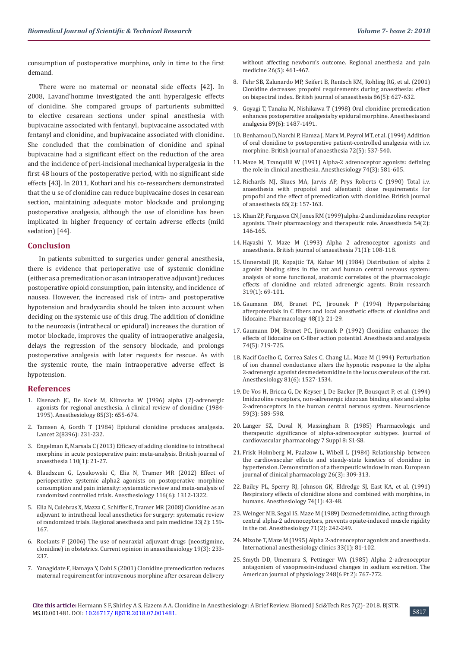consumption of postoperative morphine, only in time to the first demand.

There were no maternal or neonatal side effects [42]. In 2008, Lavand'homme investigated the anti hyperalgesic effects of clonidine. She compared groups of parturients submitted to elective cesarean sections under spinal anesthesia with bupivacaine associated with fentanyl, bupivacaine associated with fentanyl and clonidine, and bupivacaine associated with clonidine. She concluded that the combination of clonidine and spinal bupivacaine had a significant effect on the reduction of the area and the incidence of peri-incisional mechanical hyperalgesia in the first 48 hours of the postoperative period, with no significant side effects [43]. In 2011, Kothari and his co-researchers demonstrated that the u se of clonidine can reduce bupivacaine doses in cesarean section, maintaining adequate motor blockade and prolonging postoperative analgesia, although the use of clonidine has been implicated in higher frequency of certain adverse effects (mild sedation) [44].

### **Conclusion**

In patients submitted to surgeries under general anesthesia, there is evidence that perioperative use of systemic clonidine (either as a premedication or as an intraoperative adjuvant) reduces postoperative opioid consumption, pain intensity, and incidence of nausea. However, the increased risk of intra- and postoperative hypotension and bradycardia should be taken into account when deciding on the systemic use of this drug. The addition of clonidine to the neuroaxis (intrathecal or epidural) increases the duration of motor blockade, improves the quality of intraoperative analgesia, delays the regression of the sensory blockade, and prolongs postoperative analgesia with later requests for rescue. As with the systemic route, the main intraoperative adverse effect is hypotension.

## **References**

- 1. [Eisenach JC, De Kock M, Klimscha W \(1996\) alpha \(2\)-adrenergic](https://www.ncbi.nlm.nih.gov/pubmed/8853097)  [agonists for regional anesthesia. A clinical review of clonidine \(1984-](https://www.ncbi.nlm.nih.gov/pubmed/8853097) [1995\). Anesthesiology 85\(3\): 655-674.](https://www.ncbi.nlm.nih.gov/pubmed/8853097)
- 2. [Tamsen A, Gordh T \(1984\) Epidural clonidine produces analgesia.](https://www.ncbi.nlm.nih.gov/pubmed/6146793)  [Lancet 2\(8396\): 231-232.](https://www.ncbi.nlm.nih.gov/pubmed/6146793)
- 3. [Engelman E, Marsala C \(2013\) Efficacy of adding clonidine to intrathecal](https://www.ncbi.nlm.nih.gov/pubmed/23002167)  [morphine in acute postoperative pain: meta-analysis. British journal of](https://www.ncbi.nlm.nih.gov/pubmed/23002167)  [anaesthesia 110\(1\): 21-27.](https://www.ncbi.nlm.nih.gov/pubmed/23002167)
- 4. [Blaudszun G, Lysakowski C, Elia N, Tramer MR \(2012\) Effect of](https://www.ncbi.nlm.nih.gov/pubmed/22546966)  [perioperative systemic alpha2 agonists on postoperative morphine](https://www.ncbi.nlm.nih.gov/pubmed/22546966)  [consumption and pain intensity: systematic review and meta-analysis of](https://www.ncbi.nlm.nih.gov/pubmed/22546966)  [randomized controlled trials. Anesthesiology 116\(6\): 1312-1322.](https://www.ncbi.nlm.nih.gov/pubmed/22546966)
- 5. [Elia N, Culebras X, Mazza C, Schiffer E, Tramer MR \(2008\) Clonidine as an](https://www.ncbi.nlm.nih.gov/pubmed/18299097)  [adjuvant to intrathecal local anesthetics for surgery: systematic review](https://www.ncbi.nlm.nih.gov/pubmed/18299097)  [of randomized trials. Regional anesthesia and pain medicine 33\(2\): 159-](https://www.ncbi.nlm.nih.gov/pubmed/18299097) [167.](https://www.ncbi.nlm.nih.gov/pubmed/18299097)
- 6. [Roelants F \(2006\) The use of neuraxial adjuvant drugs \(neostigmine,](https://www.ncbi.nlm.nih.gov/pubmed/16735803)  [clonidine\) in obstetrics. Current opinion in anaesthesiology 19\(3\): 233-](https://www.ncbi.nlm.nih.gov/pubmed/16735803) [237.](https://www.ncbi.nlm.nih.gov/pubmed/16735803)
- 7. [Yanagidate F, Hamaya Y, Dohi S \(2001\) Clonidine premedication reduces](https://www.ncbi.nlm.nih.gov/pubmed/11561268)  [maternal requirement for intravenous morphine after cesarean delivery](https://www.ncbi.nlm.nih.gov/pubmed/11561268)

[without affecting newborn's outcome. Regional anesthesia and pain](https://www.ncbi.nlm.nih.gov/pubmed/11561268) [medicine 26\(5\): 461-467.](https://www.ncbi.nlm.nih.gov/pubmed/11561268)

- 8. [Fehr SB, Zalunardo MP, Seifert B, Rentsch KM, Rohling RG, et al. \(2001\)](https://www.ncbi.nlm.nih.gov/pubmed/11575336) [Clonidine decreases propofol requirements during anaesthesia: effect](https://www.ncbi.nlm.nih.gov/pubmed/11575336) [on bispectral index. British journal of anaesthesia 86\(5\): 627-632.](https://www.ncbi.nlm.nih.gov/pubmed/11575336)
- 9. [Goyagi T, Tanaka M, Nishikawa T \(1998\) Oral clonidine premedication](https://www.ncbi.nlm.nih.gov/pubmed/10589634) [enhances postoperative analgesia by epidural morphine. Anesthesia and](https://www.ncbi.nlm.nih.gov/pubmed/10589634) [analgesia 89\(6\): 1487-1491.](https://www.ncbi.nlm.nih.gov/pubmed/10589634)
- 10. [Benhamou D, Narchi P, Hamza J, Marx M, Peyrol MT, et al. \(1994\) Addition](https://www.ncbi.nlm.nih.gov/pubmed/8198904) [of oral clonidine to postoperative patient-controlled analgesia with i.v.](https://www.ncbi.nlm.nih.gov/pubmed/8198904) [morphine. British journal of anaesthesia 72\(5\): 537-540.](https://www.ncbi.nlm.nih.gov/pubmed/8198904)
- 11. [Maze M, Tranquilli W \(1991\) Alpha-2 adrenoceptor agonists: defining](https://www.ncbi.nlm.nih.gov/pubmed/1672060) [the role in clinical anesthesia. Anesthesiology 74\(3\): 581-605.](https://www.ncbi.nlm.nih.gov/pubmed/1672060)
- 12. [Richards MJ, Skues MA, Jarvis AP, Prys Roberts C \(1990\) Total i.v.](https://www.ncbi.nlm.nih.gov/pubmed/2223330) [anaesthesia with propofol and alfentanil: dose requirements for](https://www.ncbi.nlm.nih.gov/pubmed/2223330) [propofol and the effect of premedication with clonidine. British journal](https://www.ncbi.nlm.nih.gov/pubmed/2223330) [of anaesthesia 65\(2\): 157-163.](https://www.ncbi.nlm.nih.gov/pubmed/2223330)
- 13. [Khan ZP, Ferguson CN, Jones RM \(1999\) alpha-2 and imidazoline receptor](https://www.ncbi.nlm.nih.gov/pubmed/10215710) [agonists. Their pharmacology and therapeutic role. Anaesthesia 54\(2\):](https://www.ncbi.nlm.nih.gov/pubmed/10215710) [146-165.](https://www.ncbi.nlm.nih.gov/pubmed/10215710)
- 14. [Hayashi Y, Maze M \(1993\) Alpha 2 adrenoceptor agonists and](https://www.ncbi.nlm.nih.gov/pubmed/8102063) [anaesthesia. British journal of anaesthesia 71\(1\): 108-118.](https://www.ncbi.nlm.nih.gov/pubmed/8102063)
- 15. [Unnerstall JR, Kopajtic TA, Kuhar MJ \(1984\) Distribution of alpha 2](https://www.ncbi.nlm.nih.gov/pubmed/6324960) [agonist binding sites in the rat and human central nervous system:](https://www.ncbi.nlm.nih.gov/pubmed/6324960) [analysis of some functional, anatomic correlates of the pharmacologic](https://www.ncbi.nlm.nih.gov/pubmed/6324960) [effects of clonidine and related adrenergic agents. Brain research](https://www.ncbi.nlm.nih.gov/pubmed/6324960) [319\(1\): 69-101.](https://www.ncbi.nlm.nih.gov/pubmed/6324960)
- 16. [Gaumann DM, Brunet PC, Jirounek P \(1994\) Hyperpolarizing](https://www.ncbi.nlm.nih.gov/pubmed/8309984) [afterpotentials in C fibers and local anesthetic effects of clonidine and](https://www.ncbi.nlm.nih.gov/pubmed/8309984) [lidocaine. Pharmacology 48\(1\): 21-29.](https://www.ncbi.nlm.nih.gov/pubmed/8309984)
- 17. [Gaumann DM, Brunet PC, Jirounek P \(1992\) Clonidine enhances the](https://www.ncbi.nlm.nih.gov/pubmed/1567041) [effects of lidocaine on C-fiber action potential. Anesthesia and analgesia](https://www.ncbi.nlm.nih.gov/pubmed/1567041) [74\(5\): 719-725.](https://www.ncbi.nlm.nih.gov/pubmed/1567041)
- 18. [Nacif Coelho C, Correa Sales C, Chang LL, Maze M \(1994\) Perturbation](https://www.ncbi.nlm.nih.gov/pubmed/7992922) [of ion channel conductance alters the hypnotic response to the alpha](https://www.ncbi.nlm.nih.gov/pubmed/7992922) [2-adrenergic agonist dexmedetomidine in the locus coeruleus of the rat.](https://www.ncbi.nlm.nih.gov/pubmed/7992922) [Anesthesiology 81\(6\): 1527-1534.](https://www.ncbi.nlm.nih.gov/pubmed/7992922)
- 19. [De Vos H, Bricca G, De Keyser J, De Backer JP, Bousquet P, et al. \(1994\)](https://www.ncbi.nlm.nih.gov/pubmed/8008210) [Imidazoline receptors, non-adrenergic idazoxan binding sites and alpha](https://www.ncbi.nlm.nih.gov/pubmed/8008210) [2-adrenoceptors in the human central nervous system. Neuroscience](https://www.ncbi.nlm.nih.gov/pubmed/8008210) [59\(3\): 589-598.](https://www.ncbi.nlm.nih.gov/pubmed/8008210)
- 20. [Langer SZ, Duval N, Massingham R \(1985\) Pharmacologic and](https://www.ncbi.nlm.nih.gov/pubmed/2417042) [therapeutic significance of alpha-adrenoceptor subtypes. Journal of](https://www.ncbi.nlm.nih.gov/pubmed/2417042) [cardiovascular pharmacology 7 Suppl 8: S1-S8.](https://www.ncbi.nlm.nih.gov/pubmed/2417042)
- 21. [Frisk Holmberg M, Paalzow L, Wibell L \(1984\) Relationship between](https://www.ncbi.nlm.nih.gov/pubmed/6734692) [the cardiovascular effects and steady-state kinetics of clonidine in](https://www.ncbi.nlm.nih.gov/pubmed/6734692) [hypertension. Demonstration of a therapeutic window in man. European](https://www.ncbi.nlm.nih.gov/pubmed/6734692) [journal of clinical pharmacology 26\(3\): 309-313.](https://www.ncbi.nlm.nih.gov/pubmed/6734692)
- 22. [Bailey PL, Sperry RJ, Johnson GK, Eldredge SJ, East KA, et al. \(1991\)](https://www.ncbi.nlm.nih.gov/pubmed/1898841) [Respiratory effects of clonidine alone and combined with morphine, in](https://www.ncbi.nlm.nih.gov/pubmed/1898841) [humans. Anesthesiology 74\(1\): 43-48.](https://www.ncbi.nlm.nih.gov/pubmed/1898841)
- 23. [Weinger MB, Segal IS, Maze M \(1989\) Dexmedetomidine, acting through](https://www.ncbi.nlm.nih.gov/pubmed/2569282) [central alpha-2 adrenoceptors, prevents opiate-induced muscle rigidity](https://www.ncbi.nlm.nih.gov/pubmed/2569282) [in the rat. Anesthesiology 71\(2\): 242-249.](https://www.ncbi.nlm.nih.gov/pubmed/2569282)
- 24. [Mizobe T, Maze M \(1995\) Alpha 2-adrenoceptor agonists and anesthesia.](https://www.ncbi.nlm.nih.gov/pubmed/7635559) [International anesthesiology clinics 33\(1\): 81-102.](https://www.ncbi.nlm.nih.gov/pubmed/7635559)
- 25. [Smyth DD, Umemura S, Pettinger WA \(1985\) Alpha 2-adrenoceptor](https://www.ncbi.nlm.nih.gov/pubmed/2988346) [antagonism of vasopressin-induced changes in sodium excretion. The](https://www.ncbi.nlm.nih.gov/pubmed/2988346) [American journal of physiology 248\(6 Pt 2\): 767-772.](https://www.ncbi.nlm.nih.gov/pubmed/2988346)